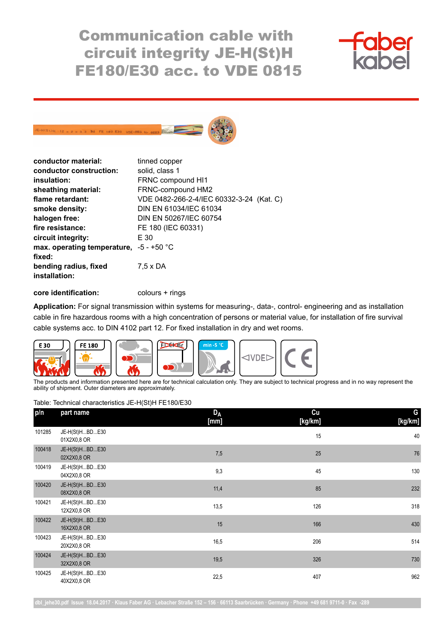Communication cable with circuit integrity JE-H(St)H FE180/E30 acc. to VDE 0815





| conductor material:                       | tinned copper                            |  |
|-------------------------------------------|------------------------------------------|--|
| conductor construction:                   | solid, class 1                           |  |
| insulation:                               | FRNC compound HI1                        |  |
| sheathing material:                       | FRNC-compound HM2                        |  |
| flame retardant:                          | VDE 0482-266-2-4/IEC 60332-3-24 (Kat. C) |  |
| smoke density:                            | DIN EN 61034/IEC 61034                   |  |
| halogen free:                             | DIN EN 50267/IEC 60754                   |  |
| fire resistance:                          | FE 180 (IEC 60331)                       |  |
| circuit integrity:                        | E 30                                     |  |
| max. operating temperature, $-5 - +50$ °C |                                          |  |
| fixed:                                    |                                          |  |
| bending radius, fixed<br>installation:    | $7,5 \times DA$                          |  |
|                                           |                                          |  |

**core identification:** colours + rings

**Application:** For signal transmission within systems for measuring-, data-, control- engineering and as installation cable in fire hazardous rooms with a high concentration of persons or material value, for installation of fire survival cable systems acc. to DIN 4102 part 12. For fixed installation in dry and wet rooms.



The products and information presented here are for technical calculation only. They are subject to technical progress and in no way represent the ability of shipment. Outer diameters are approximately.

Table: Technical characteristics JE-H(St)H FE180/E30

| p/n    | part name                     | <b>DA</b><br>[mm] | Cu<br>[kg/km] | G<br>[kg/km] |
|--------|-------------------------------|-------------------|---------------|--------------|
| 101285 | JE-H(St)HBDE30<br>01X2X0,8 OR |                   | 15            | 40           |
| 100418 | JE-H(St)HBDE30<br>02X2X0,8 OR | 7,5               | 25            | 76           |
| 100419 | JE-H(St)HBDE30<br>04X2X0,8 OR | 9,3               | 45            | 130          |
| 100420 | JE-H(St)HBDE30<br>08X2X0,8 OR | 11,4              | 85            | 232          |
| 100421 | JE-H(St)HBDE30<br>12X2X0,8 OR | 13,5              | 126           | 318          |
| 100422 | JE-H(St)HBDE30<br>16X2X0,8 OR | 15                | 166           | 430          |
| 100423 | JE-H(St)HBDE30<br>20X2X0,8 OR | 16,5              | 206           | 514          |
| 100424 | JE-H(St)HBDE30<br>32X2X0,8 OR | 19,5              | 326           | 730          |
| 100425 | JE-H(St)HBDE30<br>40X2X0,8 OR | 22,5              | 407           | 962          |